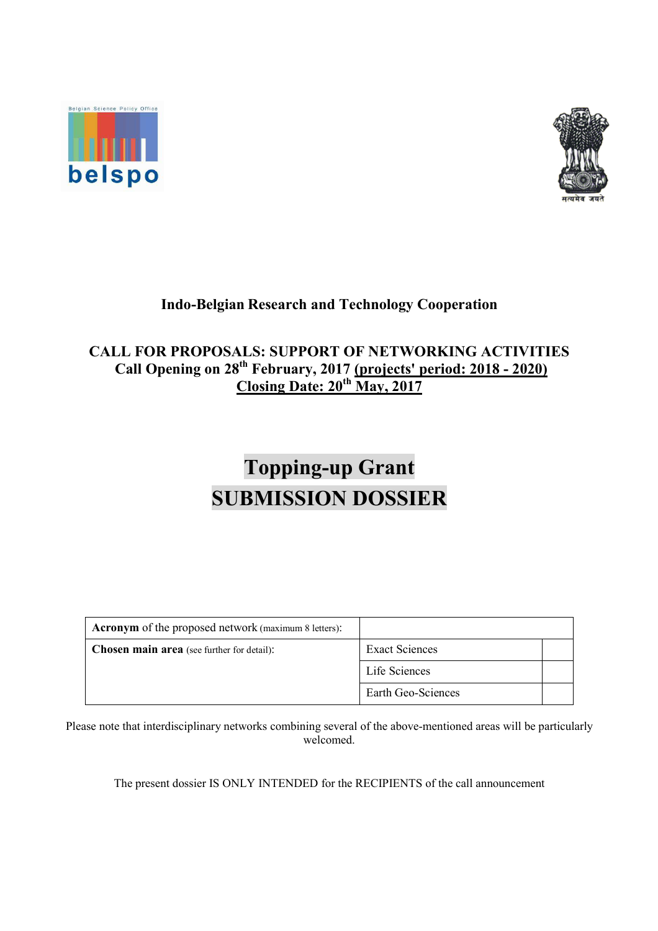



## **Indo-Belgian Research and Technology Cooperation**

# **CALL FOR PROPOSALS: SUPPORT OF NETWORKING ACTIVITIES Call Opening on 28th February, 2017 (projects' period: 2018 - 2020) Closing Date: 20th May, 2017**

# **Topping-up Grant SUBMISSION DOSSIER**

| <b>Acronym</b> of the proposed network (maximum 8 letters): |                    |  |
|-------------------------------------------------------------|--------------------|--|
| <b>Chosen main area</b> (see further for detail):           | Exact Sciences     |  |
|                                                             | Life Sciences      |  |
|                                                             | Earth Geo-Sciences |  |

Please note that interdisciplinary networks combining several of the above-mentioned areas will be particularly welcomed.

The present dossier IS ONLY INTENDED for the RECIPIENTS of the call announcement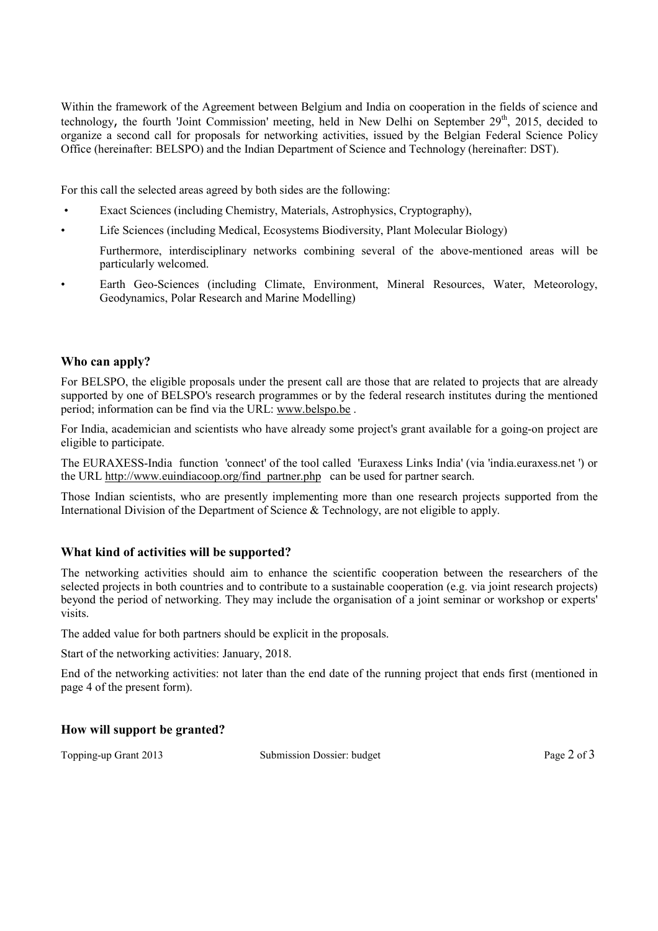Within the framework of the Agreement between Belgium and India on cooperation in the fields of science and technology, the fourth 'Joint Commission' meeting, held in New Delhi on September  $29<sup>th</sup>$ , 2015, decided to organize a second call for proposals for networking activities, issued by the Belgian Federal Science Policy Office (hereinafter: BELSPO) and the Indian Department of Science and Technology (hereinafter: DST).

For this call the selected areas agreed by both sides are the following:

- Exact Sciences (including Chemistry, Materials, Astrophysics, Cryptography),
- Life Sciences (including Medical, Ecosystems Biodiversity, Plant Molecular Biology)

Furthermore, interdisciplinary networks combining several of the above-mentioned areas will be particularly welcomed.

• Earth Geo-Sciences (including Climate, Environment, Mineral Resources, Water, Meteorology, Geodynamics, Polar Research and Marine Modelling)

#### **Who can apply?**

For BELSPO, the eligible proposals under the present call are those that are related to projects that are already supported by one of BELSPO's research programmes or by the federal research institutes during the mentioned period; information can be find via the URL: www.belspo.be .

For India, academician and scientists who have already some project's grant available for a going-on project are eligible to participate.

The EURAXESS-India function 'connect' of the tool called 'Euraxess Links India' (via 'india.euraxess.net ') or the URL http://www.euindiacoop.org/find\_partner.php can be used for partner search.

Those Indian scientists, who are presently implementing more than one research projects supported from the International Division of the Department of Science & Technology, are not eligible to apply.

## **What kind of activities will be supported?**

The networking activities should aim to enhance the scientific cooperation between the researchers of the selected projects in both countries and to contribute to a sustainable cooperation (e.g. via joint research projects) beyond the period of networking. They may include the organisation of a joint seminar or workshop or experts' visits.

The added value for both partners should be explicit in the proposals.

Start of the networking activities: January, 2018.

End of the networking activities: not later than the end date of the running project that ends first (mentioned in page 4 of the present form).

#### **How will support be granted?**

Topping-up Grant 2013 Submission Dossier: budget Page 2 of 3